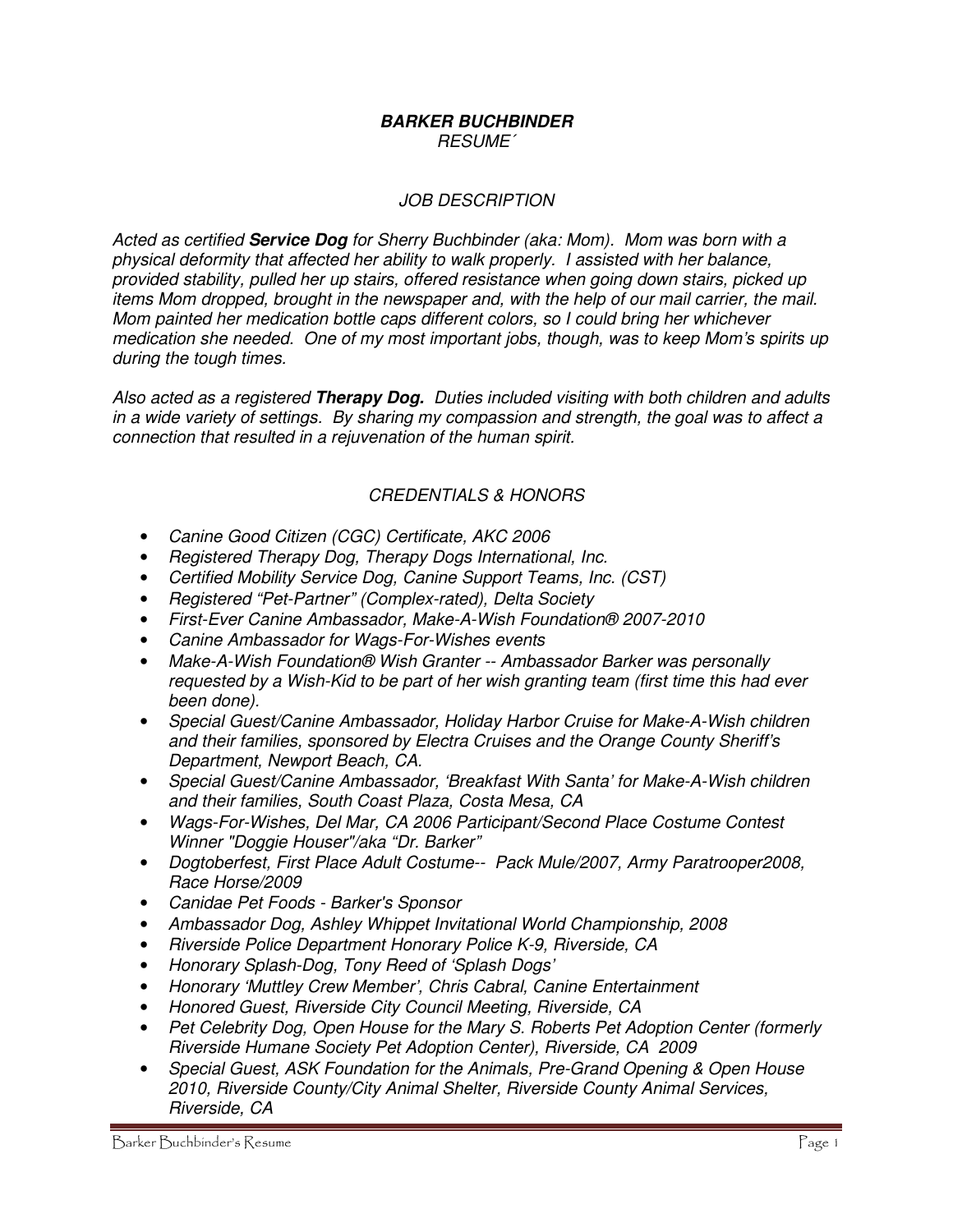#### **BARKER BUCHBINDER**  RESUME´

### JOB DESCRIPTION

Acted as certified **Service Dog** for Sherry Buchbinder (aka: Mom). Mom was born with a physical deformity that affected her ability to walk properly. I assisted with her balance, provided stability, pulled her up stairs, offered resistance when going down stairs, picked up items Mom dropped, brought in the newspaper and, with the help of our mail carrier, the mail. Mom painted her medication bottle caps different colors, so I could bring her whichever medication she needed. One of my most important jobs, though, was to keep Mom's spirits up during the tough times.

Also acted as a registered **Therapy Dog.** Duties included visiting with both children and adults in a wide variety of settings. By sharing my compassion and strength, the goal was to affect a connection that resulted in a rejuvenation of the human spirit.

### CREDENTIALS & HONORS

- Canine Good Citizen (CGC) Certificate, AKC 2006
- Registered Therapy Dog, Therapy Dogs International, Inc.
- Certified Mobility Service Dog, Canine Support Teams, Inc. (CST)
- Registered "Pet-Partner" (Complex-rated), Delta Society
- First-Ever Canine Ambassador, Make-A-Wish Foundation® 2007-2010
- Canine Ambassador for Wags-For-Wishes events
- Make-A-Wish Foundation® Wish Granter -- Ambassador Barker was personally requested by a Wish-Kid to be part of her wish granting team (first time this had ever been done).
- Special Guest/Canine Ambassador, Holiday Harbor Cruise for Make-A-Wish children and their families, sponsored by Electra Cruises and the Orange County Sheriff's Department, Newport Beach, CA.
- Special Guest/Canine Ambassador, 'Breakfast With Santa' for Make-A-Wish children and their families, South Coast Plaza, Costa Mesa, CA
- Wags-For-Wishes, Del Mar, CA 2006 Participant/Second Place Costume Contest Winner "Doggie Houser"/aka "Dr. Barker"
- Dogtoberfest, First Place Adult Costume-- Pack Mule/2007, Army Paratrooper2008, Race Horse/2009
- Canidae Pet Foods Barker's Sponsor
- Ambassador Dog, Ashley Whippet Invitational World Championship, 2008
- Riverside Police Department Honorary Police K-9, Riverside, CA
- Honorary Splash-Dog, Tony Reed of 'Splash Dogs'
- Honorary 'Muttley Crew Member', Chris Cabral, Canine Entertainment
- Honored Guest, Riverside City Council Meeting, Riverside, CA
- Pet Celebrity Dog, Open House for the Mary S. Roberts Pet Adoption Center (formerly Riverside Humane Society Pet Adoption Center), Riverside, CA 2009
- Special Guest, ASK Foundation for the Animals, Pre-Grand Opening & Open House 2010, Riverside County/City Animal Shelter, Riverside County Animal Services, Riverside, CA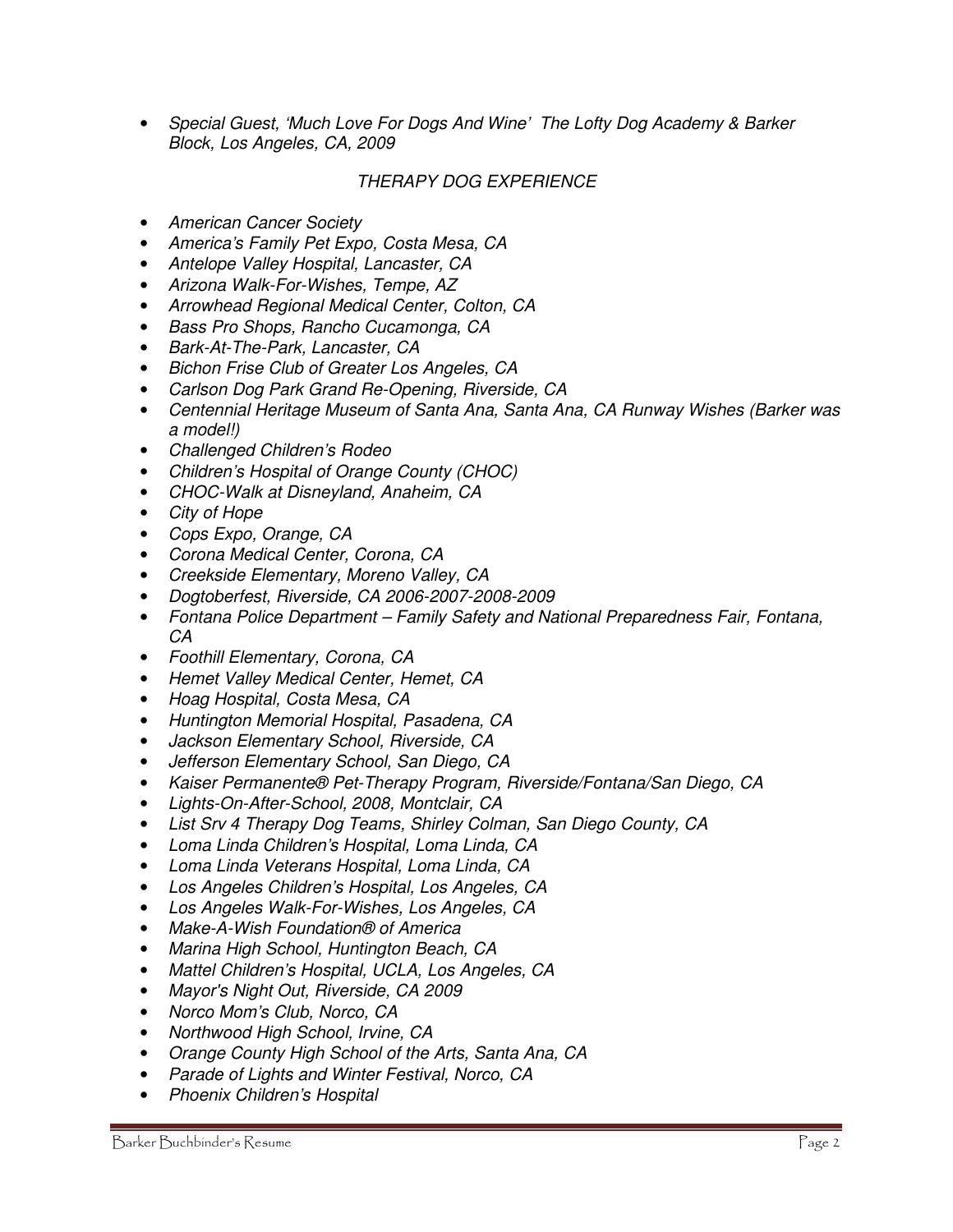• Special Guest, 'Much Love For Dogs And Wine' The Lofty Dog Academy & Barker Block, Los Angeles, CA, 2009

## THERAPY DOG EXPERIENCE

- American Cancer Society
- America's Family Pet Expo, Costa Mesa, CA
- Antelope Valley Hospital, Lancaster, CA
- Arizona Walk-For-Wishes, Tempe, AZ
- Arrowhead Regional Medical Center, Colton, CA
- Bass Pro Shops, Rancho Cucamonga, CA
- Bark-At-The-Park, Lancaster, CA
- Bichon Frise Club of Greater Los Angeles, CA
- Carlson Dog Park Grand Re-Opening, Riverside, CA
- Centennial Heritage Museum of Santa Ana, Santa Ana, CA Runway Wishes (Barker was a model!)
- Challenged Children's Rodeo
- Children's Hospital of Orange County (CHOC)
- CHOC-Walk at Disneyland, Anaheim, CA
- City of Hope
- Cops Expo, Orange, CA
- Corona Medical Center, Corona, CA
- Creekside Elementary, Moreno Valley, CA
- Dogtoberfest, Riverside, CA 2006-2007-2008-2009
- Fontana Police Department Family Safety and National Preparedness Fair, Fontana, CA
- Foothill Elementary, Corona, CA
- Hemet Valley Medical Center, Hemet, CA
- Hoag Hospital, Costa Mesa, CA
- Huntington Memorial Hospital, Pasadena, CA
- Jackson Elementary School, Riverside, CA
- Jefferson Elementary School, San Diego, CA
- Kaiser Permanente® Pet-Therapy Program, Riverside/Fontana/San Diego, CA
- Lights-On-After-School, 2008, Montclair, CA
- List Srv 4 Therapy Dog Teams, Shirley Colman, San Diego County, CA
- Loma Linda Children's Hospital, Loma Linda, CA
- Loma Linda Veterans Hospital, Loma Linda, CA
- Los Angeles Children's Hospital, Los Angeles, CA
- Los Angeles Walk-For-Wishes, Los Angeles, CA
- Make-A-Wish Foundation® of America
- Marina High School, Huntington Beach, CA
- Mattel Children's Hospital, UCLA, Los Angeles, CA
- Mayor's Night Out, Riverside, CA 2009
- Norco Mom's Club, Norco, CA
- Northwood High School, Irvine, CA
- Orange County High School of the Arts, Santa Ana, CA
- Parade of Lights and Winter Festival, Norco, CA
- Phoenix Children's Hospital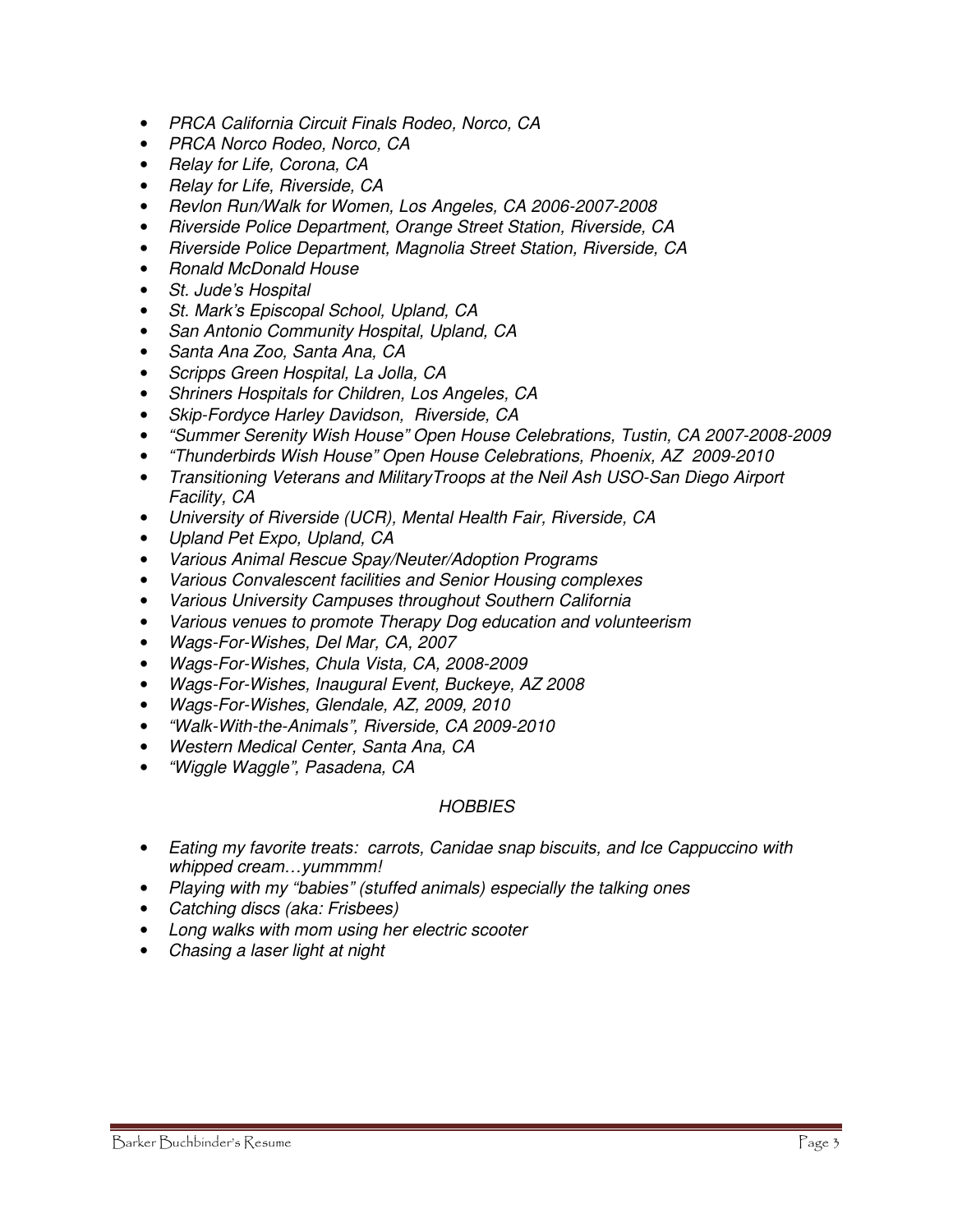- PRCA California Circuit Finals Rodeo, Norco, CA
- PRCA Norco Rodeo, Norco, CA
- Relay for Life, Corona, CA
- Relay for Life, Riverside, CA
- Revlon Run/Walk for Women, Los Angeles, CA 2006-2007-2008
- Riverside Police Department, Orange Street Station, Riverside, CA
- Riverside Police Department, Magnolia Street Station, Riverside, CA
- Ronald McDonald House
- St. Jude's Hospital
- St. Mark's Episcopal School, Upland, CA
- San Antonio Community Hospital, Upland, CA
- Santa Ana Zoo, Santa Ana, CA
- Scripps Green Hospital, La Jolla, CA
- Shriners Hospitals for Children, Los Angeles, CA
- Skip-Fordyce Harley Davidson, Riverside, CA
- "Summer Serenity Wish House" Open House Celebrations, Tustin, CA 2007-2008-2009
- "Thunderbirds Wish House" Open House Celebrations, Phoenix, AZ 2009-2010
- Transitioning Veterans and MilitaryTroops at the Neil Ash USO-San Diego Airport Facility, CA
- University of Riverside (UCR), Mental Health Fair, Riverside, CA
- Upland Pet Expo, Upland, CA
- Various Animal Rescue Spay/Neuter/Adoption Programs
- Various Convalescent facilities and Senior Housing complexes
- Various University Campuses throughout Southern California
- Various venues to promote Therapy Dog education and volunteerism
- Wags-For-Wishes, Del Mar, CA, 2007
- Wags-For-Wishes, Chula Vista, CA, 2008-2009
- Wags-For-Wishes, Inaugural Event, Buckeye, AZ 2008
- Wags-For-Wishes, Glendale, AZ, 2009, 2010
- "Walk-With-the-Animals", Riverside, CA 2009-2010
- Western Medical Center, Santa Ana, CA
- "Wiggle Waggle", Pasadena, CA

#### **HOBBIES**

- Eating my favorite treats: carrots, Canidae snap biscuits, and Ice Cappuccino with whipped cream...yummmm!
- Playing with my "babies" (stuffed animals) especially the talking ones
- Catching discs (aka: Frisbees)
- Long walks with mom using her electric scooter
- Chasing a laser light at night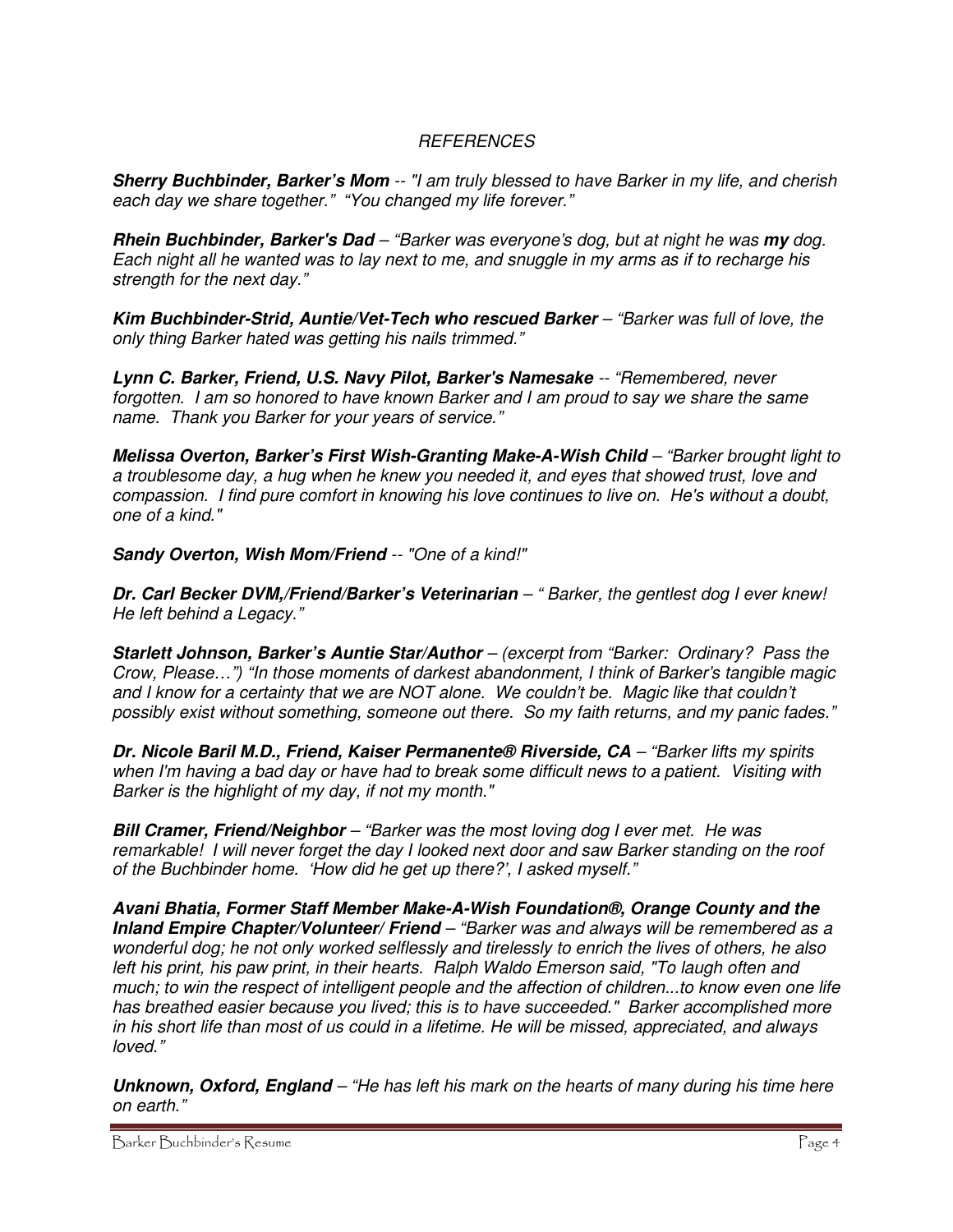# REFERENCES

**Sherry Buchbinder, Barker's Mom** -- "I am truly blessed to have Barker in my life, and cherish each day we share together." "You changed my life forever."

**Rhein Buchbinder, Barker's Dad** – "Barker was everyone's dog, but at night he was **my** dog. Each night all he wanted was to lay next to me, and snuggle in my arms as if to recharge his strength for the next day."

**Kim Buchbinder-Strid, Auntie/Vet-Tech who rescued Barker** – "Barker was full of love, the only thing Barker hated was getting his nails trimmed."

**Lynn C. Barker, Friend, U.S. Navy Pilot, Barker's Namesake** -- "Remembered, never forgotten. I am so honored to have known Barker and I am proud to say we share the same name. Thank you Barker for your years of service."

**Melissa Overton, Barker's First Wish-Granting Make-A-Wish Child** – "Barker brought light to a troublesome day, a hug when he knew you needed it, and eyes that showed trust, love and compassion. I find pure comfort in knowing his love continues to live on. He's without a doubt, one of a kind."

**Sandy Overton, Wish Mom/Friend** -- "One of a kind!"

**Dr. Carl Becker DVM,/Friend/Barker's Veterinarian** – " Barker, the gentlest dog I ever knew! He left behind a Legacy."

**Starlett Johnson, Barker's Auntie Star/Author** – (excerpt from "Barker: Ordinary? Pass the Crow, Please…") "In those moments of darkest abandonment, I think of Barker's tangible magic and I know for a certainty that we are NOT alone. We couldn't be. Magic like that couldn't possibly exist without something, someone out there. So my faith returns, and my panic fades."

**Dr. Nicole Baril M.D., Friend, Kaiser Permanente® Riverside, CA** – "Barker lifts my spirits when I'm having a bad day or have had to break some difficult news to a patient. Visiting with Barker is the highlight of my day, if not my month."

**Bill Cramer, Friend/Neighbor** – "Barker was the most loving dog I ever met. He was remarkable! I will never forget the day I looked next door and saw Barker standing on the roof of the Buchbinder home. 'How did he get up there?', I asked myself."

**Avani Bhatia, Former Staff Member Make-A-Wish Foundation®, Orange County and the Inland Empire Chapter/Volunteer/ Friend** – "Barker was and always will be remembered as a wonderful dog; he not only worked selflessly and tirelessly to enrich the lives of others, he also left his print, his paw print, in their hearts. Ralph Waldo Emerson said, "To laugh often and much; to win the respect of intelligent people and the affection of children...to know even one life has breathed easier because you lived; this is to have succeeded." Barker accomplished more in his short life than most of us could in a lifetime. He will be missed, appreciated, and always loved."

**Unknown, Oxford, England** – "He has left his mark on the hearts of many during his time here on earth."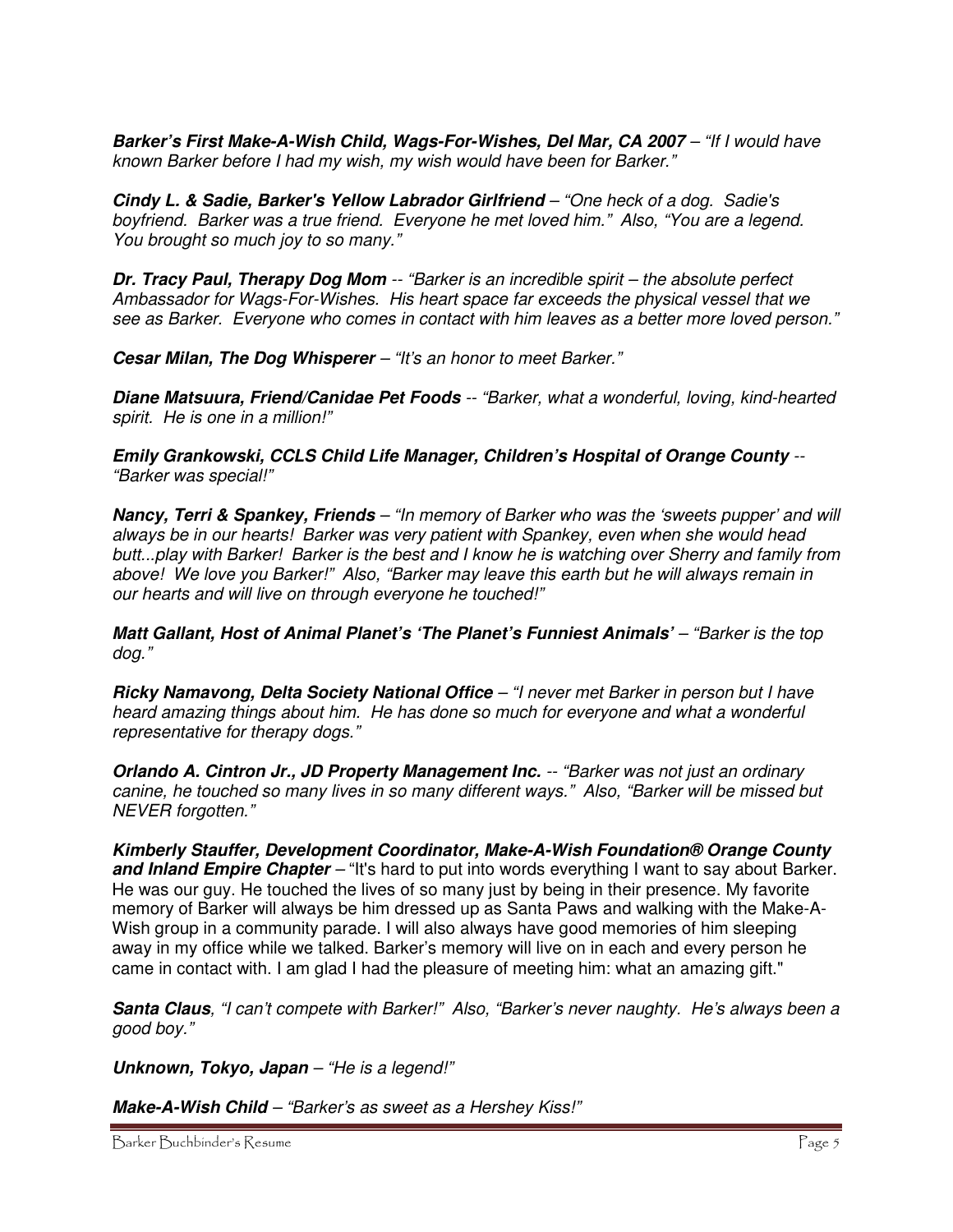**Barker's First Make-A-Wish Child, Wags-For-Wishes, Del Mar, CA 2007** – "If I would have known Barker before I had my wish, my wish would have been for Barker."

**Cindy L. & Sadie, Barker's Yellow Labrador Girlfriend** – "One heck of a dog. Sadie's boyfriend. Barker was a true friend. Everyone he met loved him." Also, "You are a legend. You brought so much joy to so many."

**Dr. Tracy Paul, Therapy Dog Mom** -- "Barker is an incredible spirit – the absolute perfect Ambassador for Wags-For-Wishes. His heart space far exceeds the physical vessel that we see as Barker. Everyone who comes in contact with him leaves as a better more loved person."

**Cesar Milan, The Dog Whisperer** – "It's an honor to meet Barker."

**Diane Matsuura, Friend/Canidae Pet Foods** -- "Barker, what a wonderful, loving, kind-hearted spirit. He is one in a million!"

**Emily Grankowski, CCLS Child Life Manager, Children's Hospital of Orange County** -- "Barker was special!"

**Nancy, Terri & Spankey, Friends** – "In memory of Barker who was the 'sweets pupper' and will always be in our hearts! Barker was very patient with Spankey, even when she would head butt...play with Barker! Barker is the best and I know he is watching over Sherry and family from above! We love you Barker!" Also, "Barker may leave this earth but he will always remain in our hearts and will live on through everyone he touched!"

**Matt Gallant, Host of Animal Planet's 'The Planet's Funniest Animals'** – "Barker is the top dog."

**Ricky Namavong, Delta Society National Office** – "I never met Barker in person but I have heard amazing things about him. He has done so much for everyone and what a wonderful representative for therapy dogs."

**Orlando A. Cintron Jr., JD Property Management Inc.** -- "Barker was not just an ordinary canine, he touched so many lives in so many different ways." Also, "Barker will be missed but NEVER forgotten."

**Kimberly Stauffer, Development Coordinator, Make-A-Wish Foundation® Orange County and Inland Empire Chapter** – "It's hard to put into words everything I want to say about Barker. He was our guy. He touched the lives of so many just by being in their presence. My favorite memory of Barker will always be him dressed up as Santa Paws and walking with the Make-A-Wish group in a community parade. I will also always have good memories of him sleeping away in my office while we talked. Barker's memory will live on in each and every person he came in contact with. I am glad I had the pleasure of meeting him: what an amazing gift."

**Santa Claus**, "I can't compete with Barker!" Also, "Barker's never naughty. He's always been a good boy."

**Unknown, Tokyo, Japan** – "He is a legend!"

**Make-A-Wish Child** – "Barker's as sweet as a Hershey Kiss!"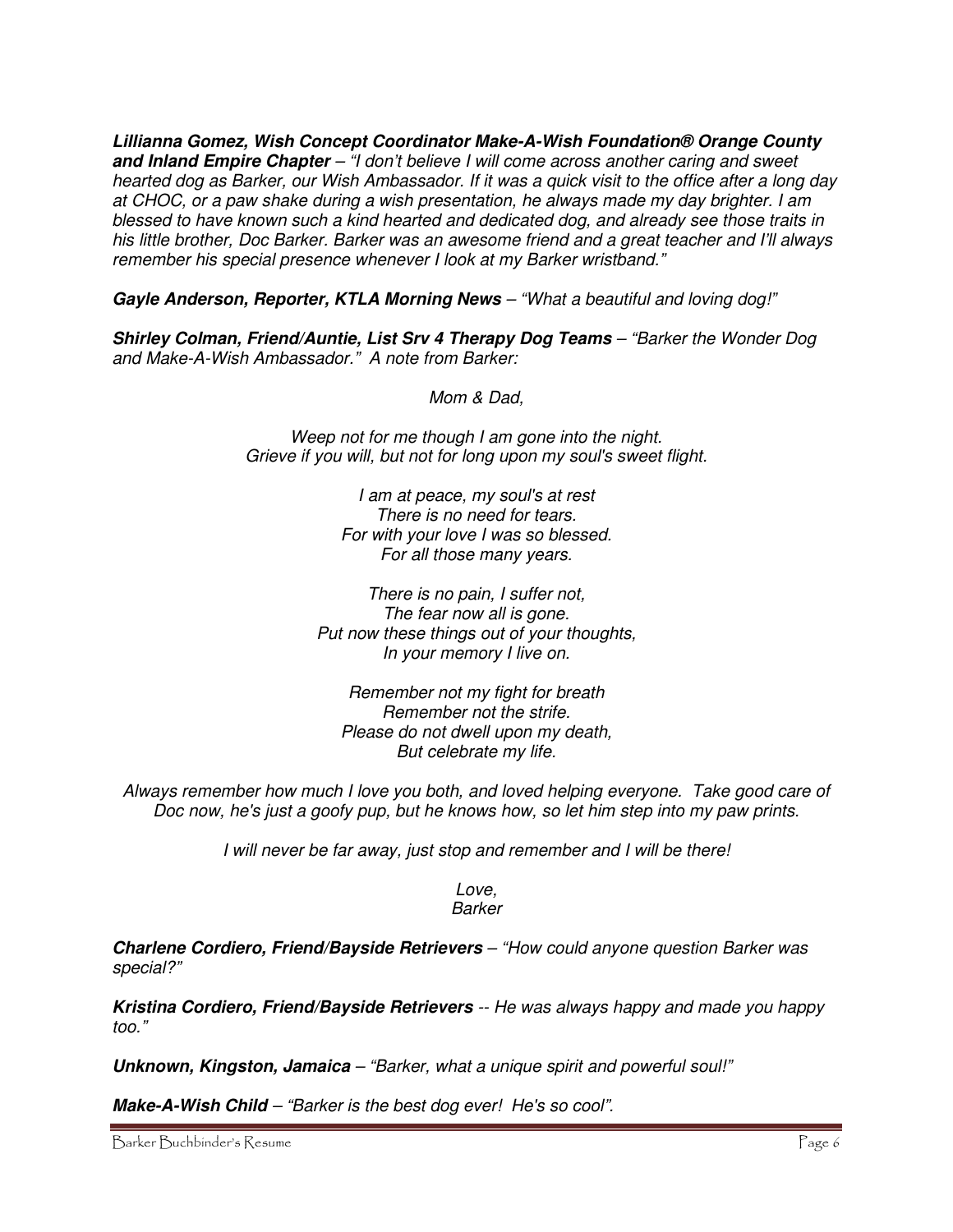**Lillianna Gomez, Wish Concept Coordinator Make-A-Wish Foundation® Orange County and Inland Empire Chapter** – "I don't believe I will come across another caring and sweet hearted dog as Barker, our Wish Ambassador. If it was a quick visit to the office after a long day at CHOC, or a paw shake during a wish presentation, he always made my day brighter. I am blessed to have known such a kind hearted and dedicated dog, and already see those traits in his little brother, Doc Barker. Barker was an awesome friend and a great teacher and I'll always remember his special presence whenever I look at my Barker wristband."

**Gayle Anderson, Reporter, KTLA Morning News** – "What a beautiful and loving dog!"

**Shirley Colman, Friend/Auntie, List Srv 4 Therapy Dog Teams** – "Barker the Wonder Dog and Make-A-Wish Ambassador." A note from Barker:

Mom & Dad,

Weep not for me though I am gone into the night. Grieve if you will, but not for long upon my soul's sweet flight.

> I am at peace, my soul's at rest There is no need for tears. For with your love I was so blessed. For all those many years.

There is no pain, I suffer not, The fear now all is gone. Put now these things out of your thoughts, In your memory I live on.

Remember not my fight for breath Remember not the strife. Please do not dwell upon my death, But celebrate my life.

Always remember how much I love you both, and loved helping everyone. Take good care of Doc now, he's just a goofy pup, but he knows how, so let him step into my paw prints.

I will never be far away, just stop and remember and I will be there!

Love, Barker

**Charlene Cordiero, Friend/Bayside Retrievers** – "How could anyone question Barker was special?"

**Kristina Cordiero, Friend/Bayside Retrievers** -- He was always happy and made you happy too."

**Unknown, Kingston, Jamaica** – "Barker, what a unique spirit and powerful soul!"

**Make-A-Wish Child** – "Barker is the best dog ever! He's so cool".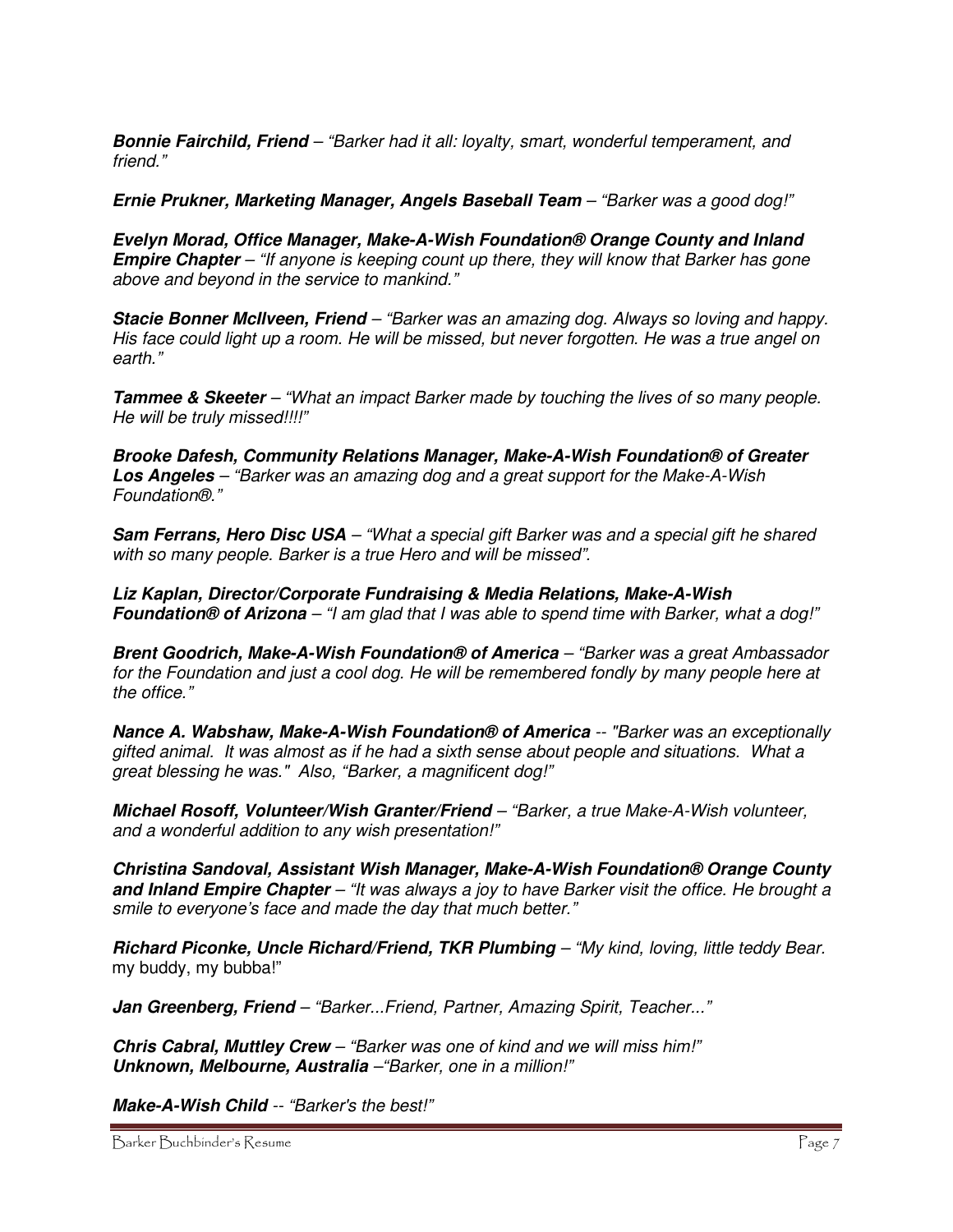**Bonnie Fairchild, Friend** – "Barker had it all: loyalty, smart, wonderful temperament, and friend."

**Ernie Prukner, Marketing Manager, Angels Baseball Team** – "Barker was a good dog!"

**Evelyn Morad, Office Manager, Make-A-Wish Foundation® Orange County and Inland Empire Chapter** – "If anyone is keeping count up there, they will know that Barker has gone above and beyond in the service to mankind."

**Stacie Bonner McIlveen, Friend** – "Barker was an amazing dog. Always so loving and happy. His face could light up a room. He will be missed, but never forgotten. He was a true angel on earth."

**Tammee & Skeeter** – "What an impact Barker made by touching the lives of so many people. He will be truly missed!!!!"

**Brooke Dafesh, Community Relations Manager, Make-A-Wish Foundation® of Greater Los Angeles** – "Barker was an amazing dog and a great support for the Make-A-Wish Foundation®."

**Sam Ferrans, Hero Disc USA** – "What a special gift Barker was and a special gift he shared with so many people. Barker is a true Hero and will be missed".

**Liz Kaplan, Director/Corporate Fundraising & Media Relations, Make-A-Wish Foundation® of Arizona** – "I am glad that I was able to spend time with Barker, what a dog!"

**Brent Goodrich, Make-A-Wish Foundation® of America** – "Barker was a great Ambassador for the Foundation and just a cool dog. He will be remembered fondly by many people here at the office."

**Nance A. Wabshaw, Make-A-Wish Foundation® of America** -- "Barker was an exceptionally gifted animal. It was almost as if he had a sixth sense about people and situations. What a great blessing he was." Also, "Barker, a magnificent dog!"

**Michael Rosoff, Volunteer/Wish Granter/Friend** – "Barker, a true Make-A-Wish volunteer, and a wonderful addition to any wish presentation!"

**Christina Sandoval, Assistant Wish Manager, Make-A-Wish Foundation® Orange County and Inland Empire Chapter** – "It was always a joy to have Barker visit the office. He brought a smile to everyone's face and made the day that much better."

**Richard Piconke, Uncle Richard/Friend, TKR Plumbing** – "My kind, loving, little teddy Bear. my buddy, my bubba!"

**Jan Greenberg, Friend** – "Barker...Friend, Partner, Amazing Spirit, Teacher..."

**Chris Cabral, Muttley Crew** – "Barker was one of kind and we will miss him!" **Unknown, Melbourne, Australia** –"Barker, one in a million!"

**Make-A-Wish Child** -- "Barker's the best!"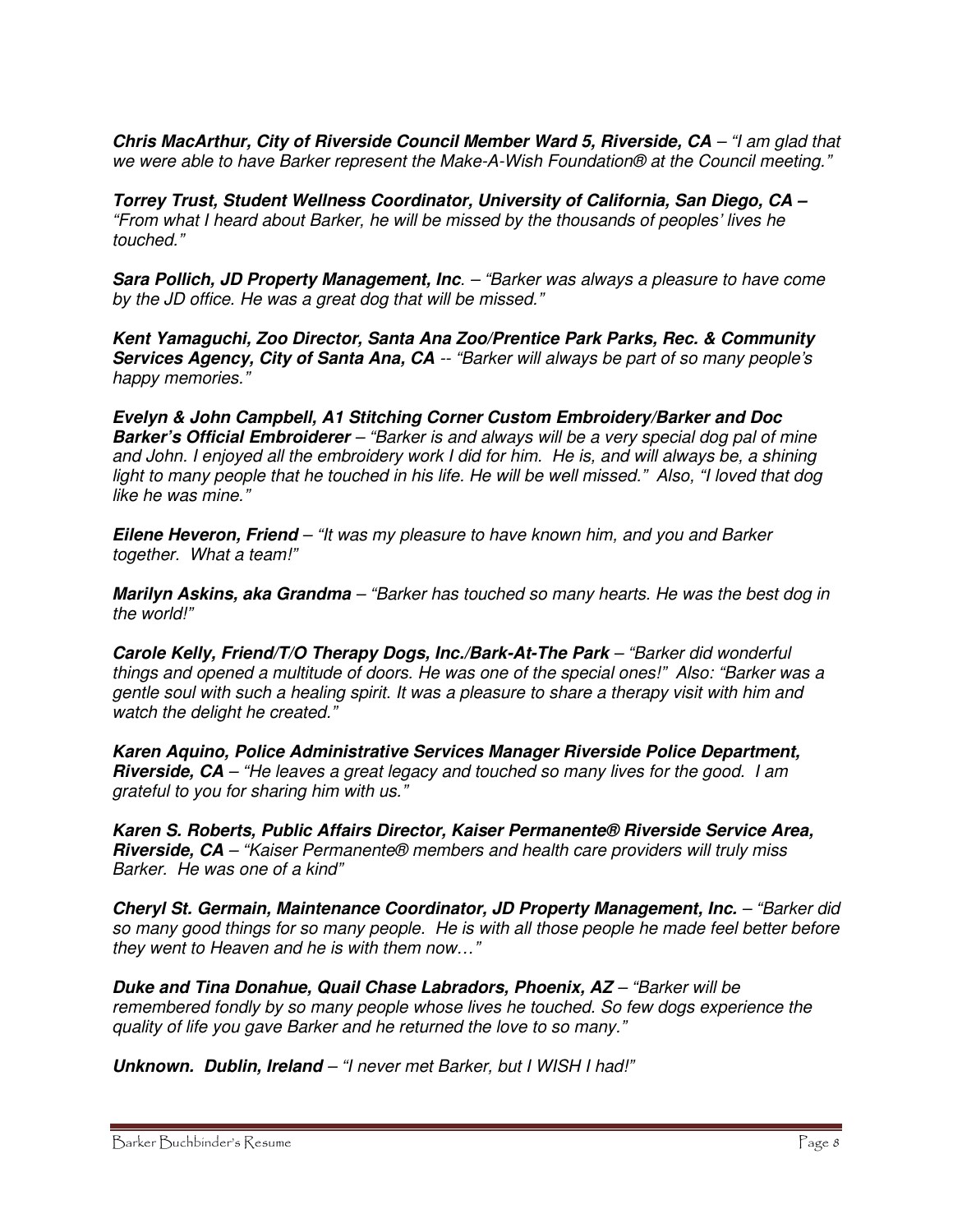**Chris MacArthur, City of Riverside Council Member Ward 5, Riverside, CA** – "I am glad that we were able to have Barker represent the Make-A-Wish Foundation® at the Council meeting."

**Torrey Trust, Student Wellness Coordinator, University of California, San Diego, CA –** "From what I heard about Barker, he will be missed by the thousands of peoples' lives he touched."

**Sara Pollich, JD Property Management, Inc**. – "Barker was always a pleasure to have come by the JD office. He was a great dog that will be missed."

**Kent Yamaguchi, Zoo Director, Santa Ana Zoo/Prentice Park Parks, Rec. & Community Services Agency, City of Santa Ana, CA** -- "Barker will always be part of so many people's happy memories."

**Evelyn & John Campbell, A1 Stitching Corner Custom Embroidery/Barker and Doc Barker's Official Embroiderer** – "Barker is and always will be a very special dog pal of mine and John. I enjoyed all the embroidery work I did for him. He is, and will always be, a shining light to many people that he touched in his life. He will be well missed." Also, "I loved that dog like he was mine."

**Eilene Heveron, Friend** – "It was my pleasure to have known him, and you and Barker together. What a team!"

**Marilyn Askins, aka Grandma** – "Barker has touched so many hearts. He was the best dog in the world!"

**Carole Kelly, Friend/T/O Therapy Dogs, Inc./Bark-At-The Park** – "Barker did wonderful things and opened a multitude of doors. He was one of the special ones!" Also: "Barker was a gentle soul with such a healing spirit. It was a pleasure to share a therapy visit with him and watch the delight he created."

**Karen Aquino, Police Administrative Services Manager Riverside Police Department, Riverside, CA** – "He leaves a great legacy and touched so many lives for the good. I am grateful to you for sharing him with us."

**Karen S. Roberts, Public Affairs Director, Kaiser Permanente® Riverside Service Area, Riverside, CA** – "Kaiser Permanente® members and health care providers will truly miss Barker. He was one of a kind"

**Cheryl St. Germain, Maintenance Coordinator, JD Property Management, Inc.** – "Barker did so many good things for so many people. He is with all those people he made feel better before they went to Heaven and he is with them now…"

**Duke and Tina Donahue, Quail Chase Labradors, Phoenix, AZ** – "Barker will be remembered fondly by so many people whose lives he touched. So few dogs experience the quality of life you gave Barker and he returned the love to so many."

**Unknown. Dublin, Ireland** – "I never met Barker, but I WISH I had!"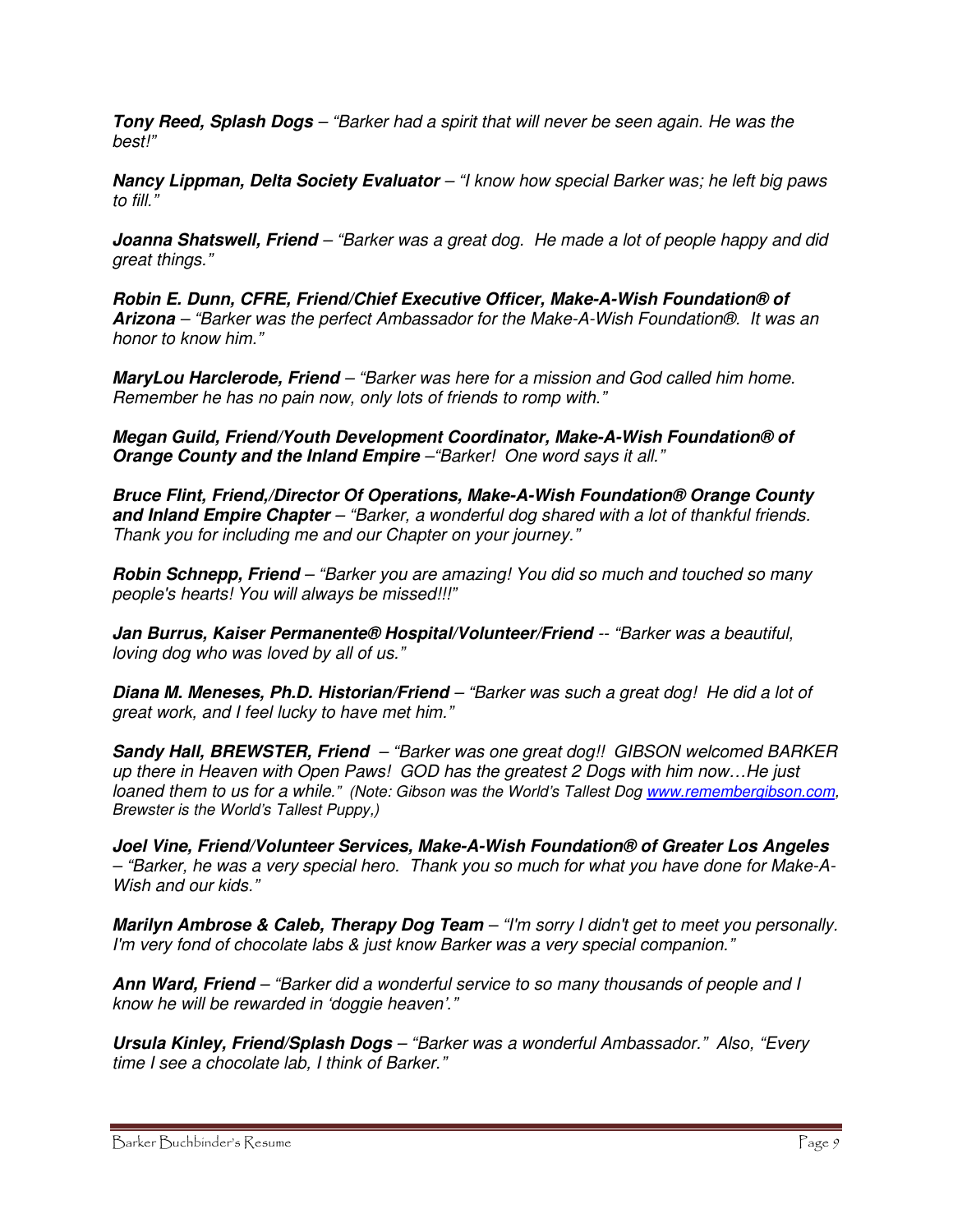**Tony Reed, Splash Dogs** – "Barker had a spirit that will never be seen again. He was the best!"

**Nancy Lippman, Delta Society Evaluator** – "I know how special Barker was; he left big paws to fill."

**Joanna Shatswell, Friend** – "Barker was a great dog. He made a lot of people happy and did great things."

**Robin E. Dunn, CFRE, Friend/Chief Executive Officer, Make-A-Wish Foundation® of Arizona** – "Barker was the perfect Ambassador for the Make-A-Wish Foundation®. It was an honor to know him."

**MaryLou Harclerode, Friend** – "Barker was here for a mission and God called him home. Remember he has no pain now, only lots of friends to romp with."

**Megan Guild, Friend/Youth Development Coordinator, Make-A-Wish Foundation® of Orange County and the Inland Empire** –"Barker! One word says it all."

**Bruce Flint, Friend,/Director Of Operations, Make-A-Wish Foundation® Orange County and Inland Empire Chapter** – "Barker, a wonderful dog shared with a lot of thankful friends. Thank you for including me and our Chapter on your journey."

**Robin Schnepp, Friend** – "Barker you are amazing! You did so much and touched so many people's hearts! You will always be missed!!!"

**Jan Burrus, Kaiser Permanente® Hospital/Volunteer/Friend** -- "Barker was a beautiful, loving dog who was loved by all of us."

**Diana M. Meneses, Ph.D. Historian/Friend** – "Barker was such a great dog! He did a lot of great work, and I feel lucky to have met him."

**Sandy Hall, BREWSTER, Friend** – "Barker was one great dog!! GIBSON welcomed BARKER up there in Heaven with Open Paws! GOD has the greatest 2 Dogs with him now…He just loaned them to us for a while." (Note: Gibson was the World's Tallest Dog www.remembergibson.com, Brewster is the World's Tallest Puppy,)

**Joel Vine, Friend/Volunteer Services, Make-A-Wish Foundation® of Greater Los Angeles** – "Barker, he was a very special hero. Thank you so much for what you have done for Make-A-Wish and our kids."

**Marilyn Ambrose & Caleb, Therapy Dog Team** – "I'm sorry I didn't get to meet you personally. I'm very fond of chocolate labs & just know Barker was a very special companion."

**Ann Ward, Friend** – "Barker did a wonderful service to so many thousands of people and I know he will be rewarded in 'doggie heaven'."

**Ursula Kinley, Friend/Splash Dogs** – "Barker was a wonderful Ambassador." Also, "Every time I see a chocolate lab, I think of Barker."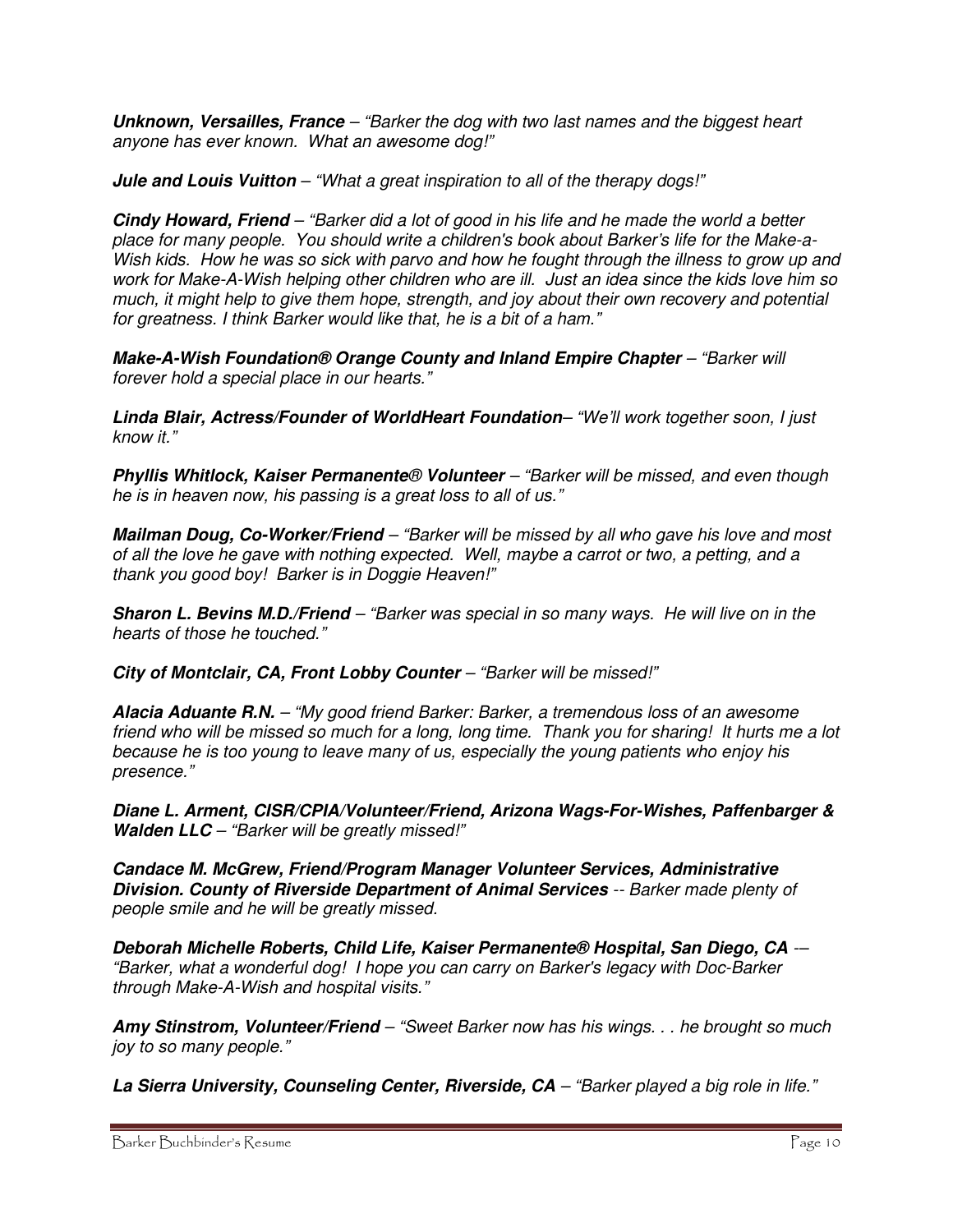**Unknown, Versailles, France** – "Barker the dog with two last names and the biggest heart anyone has ever known. What an awesome dog!"

**Jule and Louis Vuitton** – "What a great inspiration to all of the therapy dogs!"

**Cindy Howard, Friend** – "Barker did a lot of good in his life and he made the world a better place for many people. You should write a children's book about Barker's life for the Make-a-Wish kids. How he was so sick with parvo and how he fought through the illness to grow up and work for Make-A-Wish helping other children who are ill. Just an idea since the kids love him so much, it might help to give them hope, strength, and joy about their own recovery and potential for greatness. I think Barker would like that, he is a bit of a ham."

**Make-A-Wish Foundation® Orange County and Inland Empire Chapter** – "Barker will forever hold a special place in our hearts."

**Linda Blair, Actress/Founder of WorldHeart Foundation**– "We'll work together soon, I just know it."

**Phyllis Whitlock, Kaiser Permanente**® **Volunteer** – "Barker will be missed, and even though he is in heaven now, his passing is a great loss to all of us."

**Mailman Doug, Co-Worker/Friend** – "Barker will be missed by all who gave his love and most of all the love he gave with nothing expected. Well, maybe a carrot or two, a petting, and a thank you good boy! Barker is in Doggie Heaven!"

**Sharon L. Bevins M.D./Friend** – "Barker was special in so many ways. He will live on in the hearts of those he touched."

**City of Montclair, CA, Front Lobby Counter** – "Barker will be missed!"

**Alacia Aduante R.N.** – "My good friend Barker: Barker, a tremendous loss of an awesome friend who will be missed so much for a long, long time. Thank you for sharing! It hurts me a lot because he is too young to leave many of us, especially the young patients who enjoy his presence."

**Diane L. Arment, CISR/CPIA/Volunteer/Friend, Arizona Wags-For-Wishes, Paffenbarger & Walden LLC** – "Barker will be greatly missed!"

**Candace M. McGrew, Friend/Program Manager Volunteer Services, Administrative Division. County of Riverside Department of Animal Services** -- Barker made plenty of people smile and he will be greatly missed.

**Deborah Michelle Roberts, Child Life, Kaiser Permanente® Hospital, San Diego, CA** -– "Barker, what a wonderful dog! I hope you can carry on Barker's legacy with Doc-Barker through Make-A-Wish and hospital visits."

**Amy Stinstrom, Volunteer/Friend** – "Sweet Barker now has his wings. . . he brought so much joy to so many people."

**La Sierra University, Counseling Center, Riverside, CA** – "Barker played a big role in life."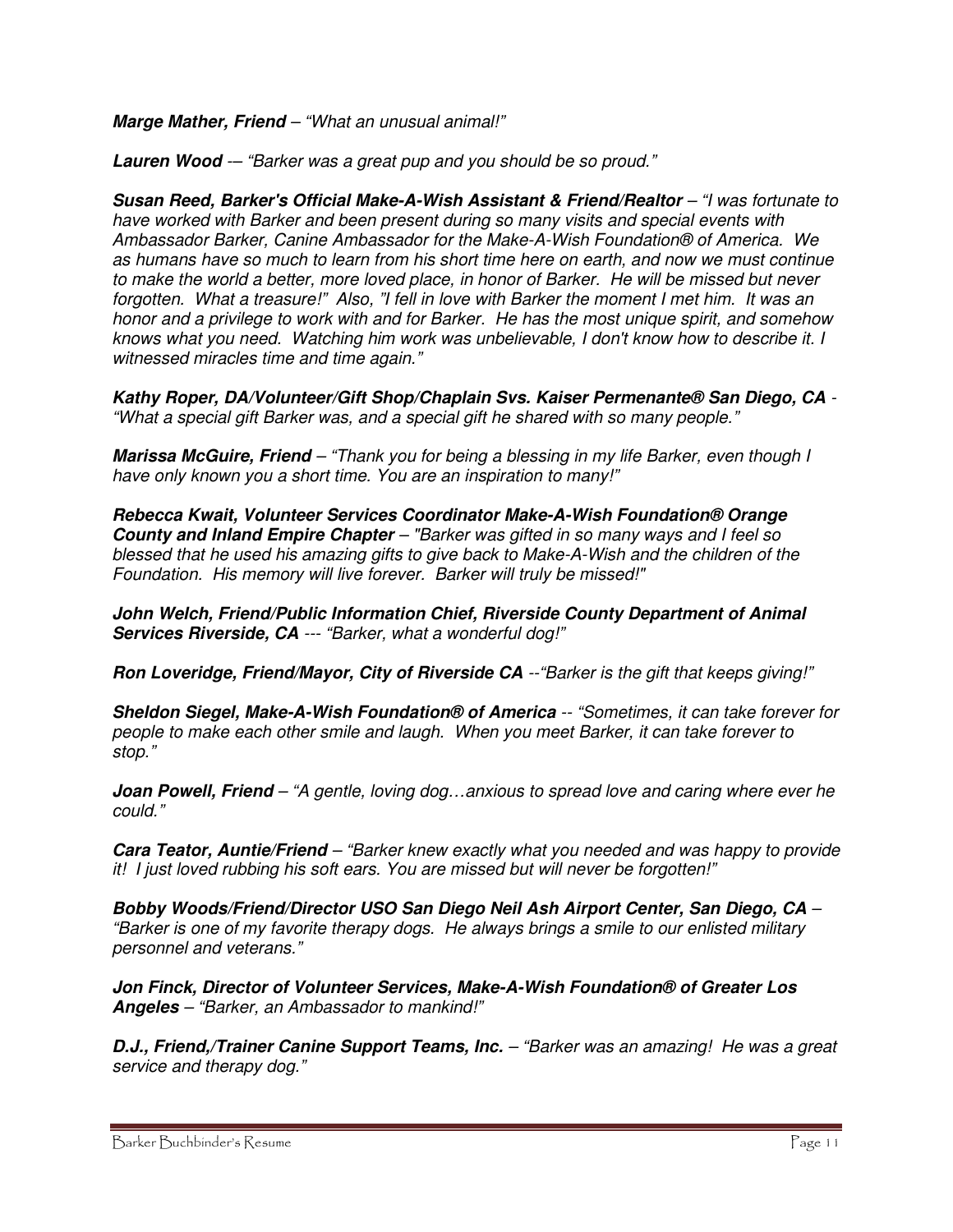**Marge Mather, Friend** – "What an unusual animal!"

**Lauren Wood** -– "Barker was a great pup and you should be so proud."

**Susan Reed, Barker's Official Make-A-Wish Assistant & Friend/Realtor** – "I was fortunate to have worked with Barker and been present during so many visits and special events with Ambassador Barker, Canine Ambassador for the Make-A-Wish Foundation® of America. We as humans have so much to learn from his short time here on earth, and now we must continue to make the world a better, more loved place, in honor of Barker. He will be missed but never forgotten. What a treasure!" Also, "I fell in love with Barker the moment I met him. It was an honor and a privilege to work with and for Barker. He has the most unique spirit, and somehow knows what you need. Watching him work was unbelievable, I don't know how to describe it. I witnessed miracles time and time again."

**Kathy Roper, DA/Volunteer/Gift Shop/Chaplain Svs. Kaiser Permenante® San Diego, CA** - "What a special gift Barker was, and a special gift he shared with so many people."

**Marissa McGuire, Friend** – "Thank you for being a blessing in my life Barker, even though I have only known you a short time. You are an inspiration to many!"

**Rebecca Kwait, Volunteer Services Coordinator Make-A-Wish Foundation® Orange County and Inland Empire Chapter** – "Barker was gifted in so many ways and I feel so blessed that he used his amazing gifts to give back to Make-A-Wish and the children of the Foundation. His memory will live forever. Barker will truly be missed!"

**John Welch, Friend/Public Information Chief, Riverside County Department of Animal Services Riverside, CA --- "Barker, what a wonderful dog!"** 

**Ron Loveridge, Friend/Mayor, City of Riverside CA** --"Barker is the gift that keeps giving!"

**Sheldon Siegel, Make-A-Wish Foundation® of America** -- "Sometimes, it can take forever for people to make each other smile and laugh. When you meet Barker, it can take forever to stop."

**Joan Powell, Friend** – "A gentle, loving dog...anxious to spread love and caring where ever he could."

**Cara Teator, Auntie/Friend** – "Barker knew exactly what you needed and was happy to provide it! I just loved rubbing his soft ears. You are missed but will never be forgotten!"

**Bobby Woods/Friend/Director USO San Diego Neil Ash Airport Center, San Diego, CA** – "Barker is one of my favorite therapy dogs. He always brings a smile to our enlisted military personnel and veterans."

**Jon Finck, Director of Volunteer Services, Make-A-Wish Foundation® of Greater Los Angeles** – "Barker, an Ambassador to mankind!"

**D.J., Friend,/Trainer Canine Support Teams, Inc.** – "Barker was an amazing! He was a great service and therapy dog."